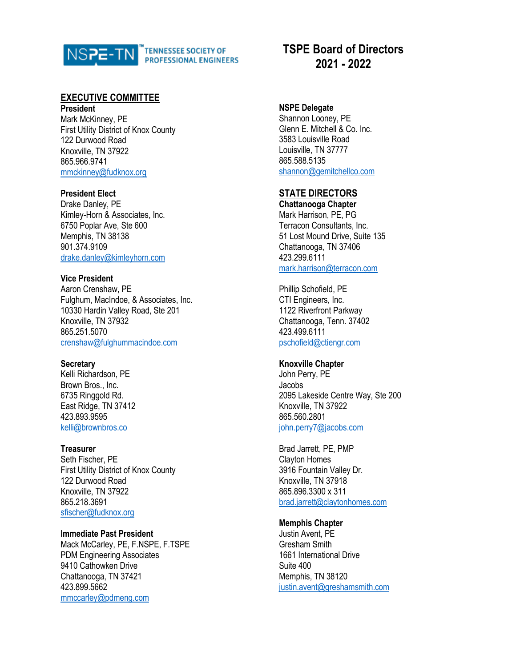

# **EXECUTIVE COMMITTEE**

**President** Mark McKinney, PE First Utility District of Knox County 122 Durwood Road Knoxville, TN 37922 865.966.9741 [mmckinney@fudknox.org](mailto:mmckinney@fudknox.org)

### **President Elect**

Drake Danley, PE Kimley-Horn & Associates, Inc. 6750 Poplar Ave, Ste 600 Memphis, TN 38138 901.374.9109 [drake.danley@kimleyhorn.com](mailto:drake.danley@kimleyhorn.com)

### **Vice President**

Aaron Crenshaw, PE Fulghum, MacIndoe, & Associates, Inc. 10330 Hardin Valley Road, Ste 201 Knoxville, TN 37932 865.251.5070 [crenshaw@fulghummacindoe.com](mailto:crenshaw@fulghummacindoe.com)

## **Secretary**

Kelli Richardson, PE Brown Bros., Inc. 6735 Ringgold Rd. East Ridge, TN 37412 423.893.9595 [kelli@brownbros.co](mailto:kelli@brownbros.co)

## **Treasurer**

Seth Fischer, PE First Utility District of Knox County 122 Durwood Road Knoxville, TN 37922 865.218.3691 [sfischer@fudknox.org](mailto:sfischer@fudknox.org)

## **Immediate Past President**

Mack McCarley, PE, F.NSPE, F.TSPE PDM Engineering Associates 9410 Cathowken Drive Chattanooga, TN 37421 423.899.5662 [mmccarley@pdmeng.com](mailto:mmccarley@pdmeng.com)

# **TSPE Board of Directors 2021 - 2022**

# **NSPE Delegate**

Shannon Looney, PE Glenn E. Mitchell & Co. Inc. 3583 Louisville Road Louisville, TN 37777 865.588.5135 [shannon@gemitchellco.com](mailto:shannon@gemitchellco.com)

# **STATE DIRECTORS**

**Chattanooga Chapter** Mark Harrison, PE, PG Terracon Consultants, Inc. 51 Lost Mound Drive, Suite 135 Chattanooga, TN 37406 423.299.6111 [mark.harrison@terracon.com](mailto:mbullard@cia-engineers.com)

Phillip Schofield, PE CTI Engineers, Inc. 1122 Riverfront Parkway Chattanooga, Tenn. 37402 423.499.6111 pschofield@ctiengr.com

## **Knoxville Chapter**

John Perry, PE Jacobs 2095 Lakeside Centre Way, Ste 200 Knoxville, TN 37922 865.560.2801 [john.perry7@jacobs.com](mailto:john.perry7@jacobs.com)

Brad Jarrett, PE, PMP Clayton Homes 3916 Fountain Valley Dr. Knoxville, TN 37918 865.896.3300 x 311 [brad.jarrett@claytonhomes.com](mailto:brad.jarrett@claytonhomes.com)

## **Memphis Chapter**

Justin Avent, PE Gresham Smith 1661 International Drive Suite 400 Memphis, TN 38120 [justin.avent@greshamsmith.com](mailto:justin.avent@greshamsmith.com)